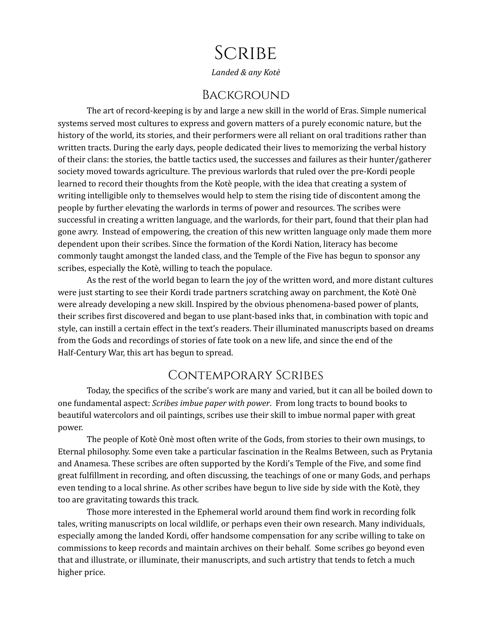# **SCRIBE**

*Landed & any Kotè*

#### **BACKGROUND**

The art of record-keeping is by and large a new skill in the world of Eras. Simple numerical systems served most cultures to express and govern matters of a purely economic nature, but the history of the world, its stories, and their performers were all reliant on oral traditions rather than written tracts. During the early days, people dedicated their lives to memorizing the verbal history of their clans: the stories, the battle tactics used, the successes and failures as their hunter/gatherer society moved towards agriculture. The previous warlords that ruled over the pre-Kordi people learned to record their thoughts from the Kotè people, with the idea that creating a system of writing intelligible only to themselves would help to stem the rising tide of discontent among the people by further elevating the warlords in terms of power and resources. The scribes were successful in creating a written language, and the warlords, for their part, found that their plan had gone awry. Instead of empowering, the creation of this new written language only made them more dependent upon their scribes. Since the formation of the Kordi Nation, literacy has become commonly taught amongst the landed class, and the Temple of the Five has begun to sponsor any scribes, especially the Kotè, willing to teach the populace.

As the rest of the world began to learn the joy of the written word, and more distant cultures were just starting to see their Kordi trade partners scratching away on parchment, the Kotè Onè were already developing a new skill. Inspired by the obvious phenomena-based power of plants, their scribes first discovered and began to use plant-based inks that, in combination with topic and style, can instill a certain effect in the text's readers. Their illuminated manuscripts based on dreams from the Gods and recordings of stories of fate took on a new life, and since the end of the Half-Century War, this art has begun to spread.

#### Contemporary Scribes

Today, the specifics of the scribe's work are many and varied, but it can all be boiled down to one fundamental aspect: *Scribes imbue paper with power*. From long tracts to bound books to beautiful watercolors and oil paintings, scribes use their skill to imbue normal paper with great power.

The people of Kotè Onè most often write of the Gods, from stories to their own musings, to Eternal philosophy. Some even take a particular fascination in the Realms Between, such as Prytania and Anamesa. These scribes are often supported by the Kordi's Temple of the Five, and some find great fulfillment in recording, and often discussing, the teachings of one or many Gods, and perhaps even tending to a local shrine. As other scribes have begun to live side by side with the Kotè, they too are gravitating towards this track.

Those more interested in the Ephemeral world around them find work in recording folk tales, writing manuscripts on local wildlife, or perhaps even their own research. Many individuals, especially among the landed Kordi, offer handsome compensation for any scribe willing to take on commissions to keep records and maintain archives on their behalf. Some scribes go beyond even that and illustrate, or illuminate, their manuscripts, and such artistry that tends to fetch a much higher price.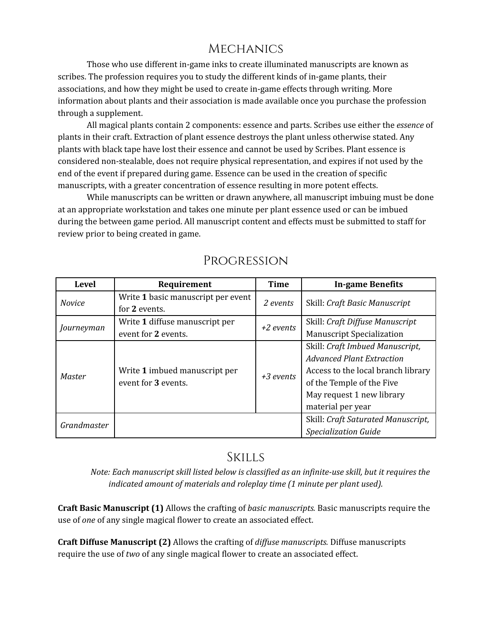# **MECHANICS**

Those who use different in-game inks to create illuminated manuscripts are known as scribes. The profession requires you to study the different kinds of in-game plants, their associations, and how they might be used to create in-game effects through writing. More information about plants and their association is made available once you purchase the profession through a supplement.

All magical plants contain 2 components: essence and parts. Scribes use either the *essence* of plants in their craft. Extraction of plant essence destroys the plant unless otherwise stated. Any plants with black tape have lost their essence and cannot be used by Scribes. Plant essence is considered non-stealable, does not require physical representation, and expires if not used by the end of the event if prepared during game. Essence can be used in the creation of specific manuscripts, with a greater concentration of essence resulting in more potent effects.

While manuscripts can be written or drawn anywhere, all manuscript imbuing must be done at an appropriate workstation and takes one minute per plant essence used or can be imbued during the between game period. All manuscript content and effects must be submitted to staff for review prior to being created in game.

| <b>Level</b>  | Requirement                                          | <b>Time</b> | <b>In-game Benefits</b>            |
|---------------|------------------------------------------------------|-------------|------------------------------------|
| <b>Novice</b> | Write 1 basic manuscript per event                   | 2 events    | Skill: Craft Basic Manuscript      |
|               | for 2 events.                                        |             |                                    |
| Journeyman    | Write 1 diffuse manuscript per                       | +2 events   | Skill: Craft Diffuse Manuscript    |
|               | event for 2 events.                                  |             | <b>Manuscript Specialization</b>   |
| Master        | Write 1 imbued manuscript per<br>event for 3 events. | $+3$ events | Skill: Craft Imbued Manuscript,    |
|               |                                                      |             | <b>Advanced Plant Extraction</b>   |
|               |                                                      |             | Access to the local branch library |
|               |                                                      |             | of the Temple of the Five          |
|               |                                                      |             | May request 1 new library          |
|               |                                                      |             | material per year                  |
| Grandmaster   |                                                      |             | Skill: Craft Saturated Manuscript, |
|               |                                                      |             | <b>Specialization Guide</b>        |

### Progression

# Skills

*Note: Each manuscript skill listed below is classified as an infinite-use skill, but it requires the indicated amount of materials and roleplay time (1 minute per plant used).*

**Craft Basic Manuscript (1)** Allows the crafting of *basic manuscripts.* Basic manuscripts require the use of *one* of any single magical flower to create an associated effect.

**Craft Diffuse Manuscript (2)** Allows the crafting of *dif use manuscripts.* Diffuse manuscripts require the use of *two* of any single magical flower to create an associated effect.